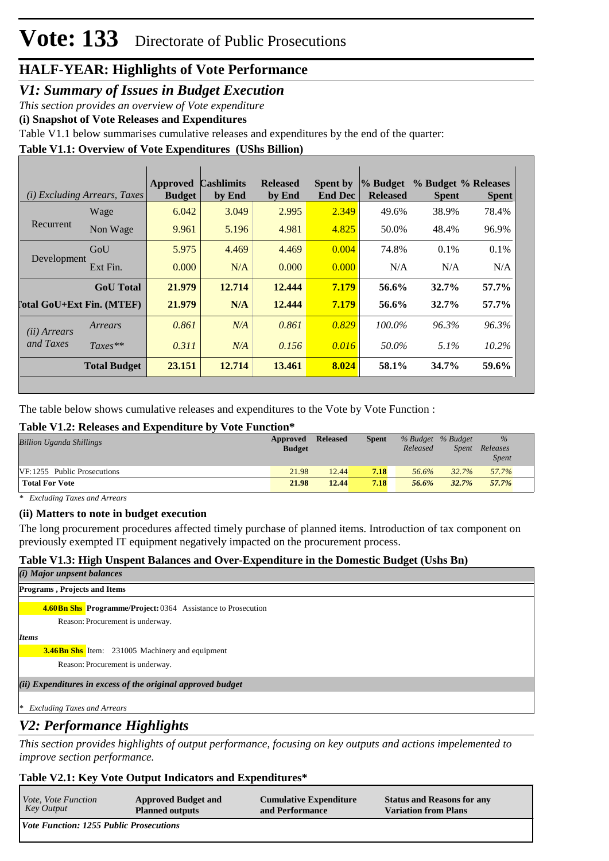# *V1: Summary of Issues in Budget Execution*

*This section provides an overview of Vote expenditure* 

**(i) Snapshot of Vote Releases and Expenditures**

Table V1.1 below summarises cumulative releases and expenditures by the end of the quarter:

### **Table V1.1: Overview of Vote Expenditures (UShs Billion)**

|                            | (i) Excluding Arrears, Taxes | <b>Approved</b><br><b>Budget</b> | <b>Cashlimits</b><br>by End | <b>Released</b><br>by End | <b>Spent by</b><br><b>End Dec</b> | % Budget<br><b>Released</b> | <b>Spent</b> | % Budget % Releases<br><b>Spent</b> |
|----------------------------|------------------------------|----------------------------------|-----------------------------|---------------------------|-----------------------------------|-----------------------------|--------------|-------------------------------------|
|                            | Wage                         | 6.042                            | 3.049                       | 2.995                     | 2.349                             | 49.6%                       | 38.9%        | 78.4%                               |
| Recurrent                  | Non Wage                     | 9.961                            | 5.196                       | 4.981                     | 4.825                             | 50.0%                       | 48.4%        | 96.9%                               |
| Development                | GoU                          | 5.975                            | 4.469                       | 4.469                     | 0.004                             | 74.8%                       | $0.1\%$      | $0.1\%$                             |
|                            | Ext Fin.                     | 0.000                            | N/A                         | 0.000                     | 0.000                             | N/A                         | N/A          | N/A                                 |
|                            | <b>GoU</b> Total             | 21.979                           | 12.714                      | 12.444                    | 7.179                             | 56.6%                       | $32.7\%$     | 57.7%                               |
| [`otal GoU+Ext Fin. (MTEF) |                              | 21.979                           | N/A                         | 12.444                    | 7.179                             | 56.6%                       | $32.7\%$     | 57.7%                               |
| (ii) Arrears               | Arrears                      | 0.861                            | N/A                         | 0.861                     | 0.829                             | 100.0%                      | 96.3%        | 96.3%                               |
| and Taxes                  | $Taxes**$                    | 0.311                            | N/A                         | 0.156                     | 0.016                             | 50.0%                       | $5.1\%$      | $10.2\%$                            |
|                            | <b>Total Budget</b>          | 23.151                           | 12.714                      | 13.461                    | 8.024                             | 58.1%                       | 34.7%        | 59.6%                               |

The table below shows cumulative releases and expenditures to the Vote by Vote Function :

# **Table V1.2: Releases and Expenditure by Vote Function\***

| Releases     |
|--------------|
| <b>Spent</b> |
| 57.7%        |
| 57.7%        |
|              |

*\* Excluding Taxes and Arrears*

### **(ii) Matters to note in budget execution**

The long procurement procedures affected timely purchase of planned items. Introduction of tax component on previously exempted IT equipment negatively impacted on the procurement process.

# **Table V1.3: High Unspent Balances and Over-Expenditure in the Domestic Budget (Ushs Bn)**

| ( <i>i</i> ) Major unpsent balances                                  |
|----------------------------------------------------------------------|
| <b>Programs, Projects and Items</b>                                  |
| <b>4.60 Bn Shs</b> Programme/Project: 0364 Assistance to Prosecution |
| Reason: Procurement is underway.                                     |
| <b>Items</b>                                                         |
| <b>3.46Bn Shs</b> Item: 231005 Machinery and equipment               |
| Reason: Procurement is underway.                                     |
| (ii) Expenditures in excess of the original approved budget          |
| <b>Excluding Taxes and Arrears</b>                                   |

# *V2: Performance Highlights*

*This section provides highlights of output performance, focusing on key outputs and actions impelemented to improve section performance.*

# **Table V2.1: Key Vote Output Indicators and Expenditures\***

| <i>Vote, Vote Function</i>                     | <b>Approved Budget and</b> | <b>Cumulative Expenditure</b> | <b>Status and Reasons for any</b> |
|------------------------------------------------|----------------------------|-------------------------------|-----------------------------------|
| Key Output                                     | <b>Planned outputs</b>     | and Performance               | <b>Variation from Plans</b>       |
| <b>Vote Function: 1255 Public Prosecutions</b> |                            |                               |                                   |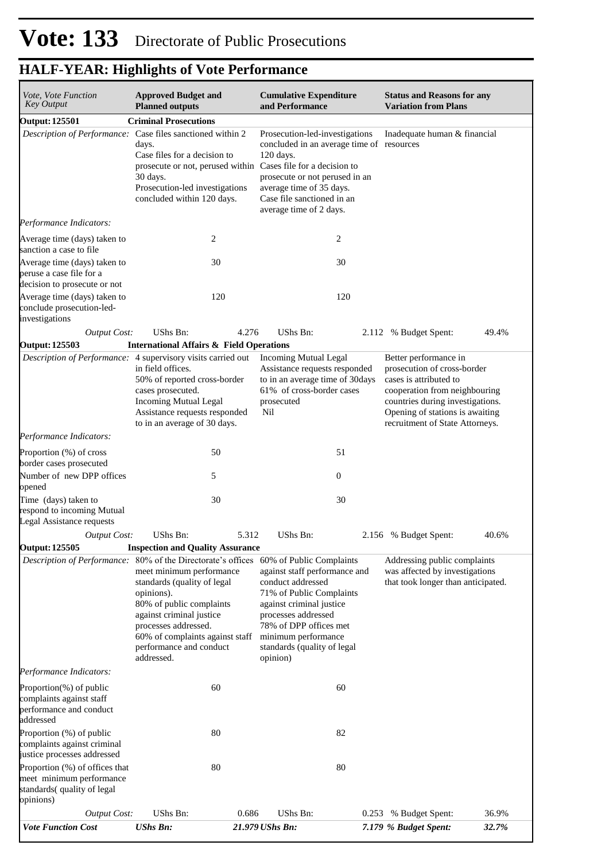| <i>Vote, Vote Function</i><br>Key Output                                                                                                                                                                                                                                                                 | <b>Approved Budget and</b><br><b>Planned outputs</b>                                                                                                                                                                                             | <b>Cumulative Expenditure</b><br>and Performance                                                                                                                                                                                                          | <b>Status and Reasons for any</b><br><b>Variation from Plans</b>                                                                                                                                                          |  |  |  |
|----------------------------------------------------------------------------------------------------------------------------------------------------------------------------------------------------------------------------------------------------------------------------------------------------------|--------------------------------------------------------------------------------------------------------------------------------------------------------------------------------------------------------------------------------------------------|-----------------------------------------------------------------------------------------------------------------------------------------------------------------------------------------------------------------------------------------------------------|---------------------------------------------------------------------------------------------------------------------------------------------------------------------------------------------------------------------------|--|--|--|
| <b>Output: 125501</b>                                                                                                                                                                                                                                                                                    | <b>Criminal Prosecutions</b>                                                                                                                                                                                                                     |                                                                                                                                                                                                                                                           |                                                                                                                                                                                                                           |  |  |  |
|                                                                                                                                                                                                                                                                                                          | Description of Performance: Case files sanctioned within 2<br>days.<br>Case files for a decision to<br>prosecute or not, perused within Cases file for a decision to<br>30 days.<br>Prosecution-led investigations<br>concluded within 120 days. | Prosecution-led-investigations<br>concluded in an average time of resources<br>120 days.<br>prosecute or not perused in an<br>average time of 35 days.<br>Case file sanctioned in an<br>average time of 2 days.                                           | Inadequate human & financial                                                                                                                                                                                              |  |  |  |
| Performance Indicators:                                                                                                                                                                                                                                                                                  |                                                                                                                                                                                                                                                  |                                                                                                                                                                                                                                                           |                                                                                                                                                                                                                           |  |  |  |
| Average time (days) taken to<br>sanction a case to file                                                                                                                                                                                                                                                  | $\overline{c}$                                                                                                                                                                                                                                   | 2                                                                                                                                                                                                                                                         |                                                                                                                                                                                                                           |  |  |  |
| Average time (days) taken to<br>peruse a case file for a<br>decision to prosecute or not                                                                                                                                                                                                                 | 30                                                                                                                                                                                                                                               | 30                                                                                                                                                                                                                                                        |                                                                                                                                                                                                                           |  |  |  |
| Average time (days) taken to<br>conclude prosecution-led-<br>investigations                                                                                                                                                                                                                              | 120                                                                                                                                                                                                                                              | 120                                                                                                                                                                                                                                                       |                                                                                                                                                                                                                           |  |  |  |
| <b>Output Cost:</b>                                                                                                                                                                                                                                                                                      | <b>UShs Bn:</b><br>4.276                                                                                                                                                                                                                         | UShs Bn:                                                                                                                                                                                                                                                  | % Budget Spent:<br>49.4%<br>2.112                                                                                                                                                                                         |  |  |  |
| <b>Output: 125503</b>                                                                                                                                                                                                                                                                                    | <b>International Affairs &amp; Field Operations</b>                                                                                                                                                                                              |                                                                                                                                                                                                                                                           |                                                                                                                                                                                                                           |  |  |  |
|                                                                                                                                                                                                                                                                                                          | Description of Performance: 4 supervisory visits carried out<br>in field offices.<br>50% of reported cross-border<br>cases prosecuted.<br><b>Incoming Mutual Legal</b><br>Assistance requests responded<br>to in an average of 30 days.          | <b>Incoming Mutual Legal</b><br>Assistance requests responded<br>to in an average time of 30days<br>61% of cross-border cases<br>prosecuted<br>Nil                                                                                                        | Better performance in<br>prosecution of cross-border<br>cases is attributed to<br>cooperation from neighbouring<br>countries during investigations.<br>Opening of stations is awaiting<br>recruitment of State Attorneys. |  |  |  |
| Performance Indicators:                                                                                                                                                                                                                                                                                  |                                                                                                                                                                                                                                                  |                                                                                                                                                                                                                                                           |                                                                                                                                                                                                                           |  |  |  |
| Proportion (%) of cross                                                                                                                                                                                                                                                                                  | 50                                                                                                                                                                                                                                               | 51                                                                                                                                                                                                                                                        |                                                                                                                                                                                                                           |  |  |  |
| border cases prosecuted<br>Number of new DPP offices                                                                                                                                                                                                                                                     | 5                                                                                                                                                                                                                                                | $\boldsymbol{0}$                                                                                                                                                                                                                                          |                                                                                                                                                                                                                           |  |  |  |
| opened<br>Time (days) taken to<br>respond to incoming Mutual<br>Legal Assistance requests                                                                                                                                                                                                                | 30                                                                                                                                                                                                                                               | 30                                                                                                                                                                                                                                                        |                                                                                                                                                                                                                           |  |  |  |
| <b>Output Cost:</b>                                                                                                                                                                                                                                                                                      | UShs Bn:<br>5.312                                                                                                                                                                                                                                | <b>UShs Bn:</b>                                                                                                                                                                                                                                           | 2.156 % Budget Spent:<br>40.6%                                                                                                                                                                                            |  |  |  |
| <b>Output: 125505</b>                                                                                                                                                                                                                                                                                    | <b>Inspection and Quality Assurance</b>                                                                                                                                                                                                          |                                                                                                                                                                                                                                                           |                                                                                                                                                                                                                           |  |  |  |
| <i>Description of Performance:</i> 80% of the Directorate's offices<br>meet minimum performance<br>standards (quality of legal<br>opinions).<br>80% of public complaints<br>against criminal justice<br>processes addressed.<br>60% of complaints against staff<br>performance and conduct<br>addressed. |                                                                                                                                                                                                                                                  | 60% of Public Complaints<br>against staff performance and<br>conduct addressed<br>71% of Public Complaints<br>against criminal justice<br>processes addressed<br>78% of DPP offices met<br>minimum performance<br>standards (quality of legal<br>opinion) | Addressing public complaints<br>was affected by investigations<br>that took longer than anticipated.                                                                                                                      |  |  |  |
| Performance Indicators:                                                                                                                                                                                                                                                                                  |                                                                                                                                                                                                                                                  |                                                                                                                                                                                                                                                           |                                                                                                                                                                                                                           |  |  |  |
| Proportion(%) of public<br>complaints against staff<br>performance and conduct<br>addressed                                                                                                                                                                                                              | 60                                                                                                                                                                                                                                               | 60                                                                                                                                                                                                                                                        |                                                                                                                                                                                                                           |  |  |  |
| Proportion (%) of public<br>complaints against criminal<br>justice processes addressed                                                                                                                                                                                                                   | 80                                                                                                                                                                                                                                               | 82                                                                                                                                                                                                                                                        |                                                                                                                                                                                                                           |  |  |  |
| Proportion (%) of offices that<br>meet minimum performance<br>standards(quality of legal<br>opinions)                                                                                                                                                                                                    | 80                                                                                                                                                                                                                                               | 80                                                                                                                                                                                                                                                        |                                                                                                                                                                                                                           |  |  |  |
| <b>Output Cost:</b>                                                                                                                                                                                                                                                                                      | UShs Bn:<br>0.686                                                                                                                                                                                                                                | UShs Bn:                                                                                                                                                                                                                                                  | 36.9%<br>% Budget Spent:<br>0.253                                                                                                                                                                                         |  |  |  |
| <b>Vote Function Cost</b>                                                                                                                                                                                                                                                                                | <b>UShs Bn:</b>                                                                                                                                                                                                                                  | 21.979 UShs Bn:                                                                                                                                                                                                                                           | 7.179 % Budget Spent:<br>32.7%                                                                                                                                                                                            |  |  |  |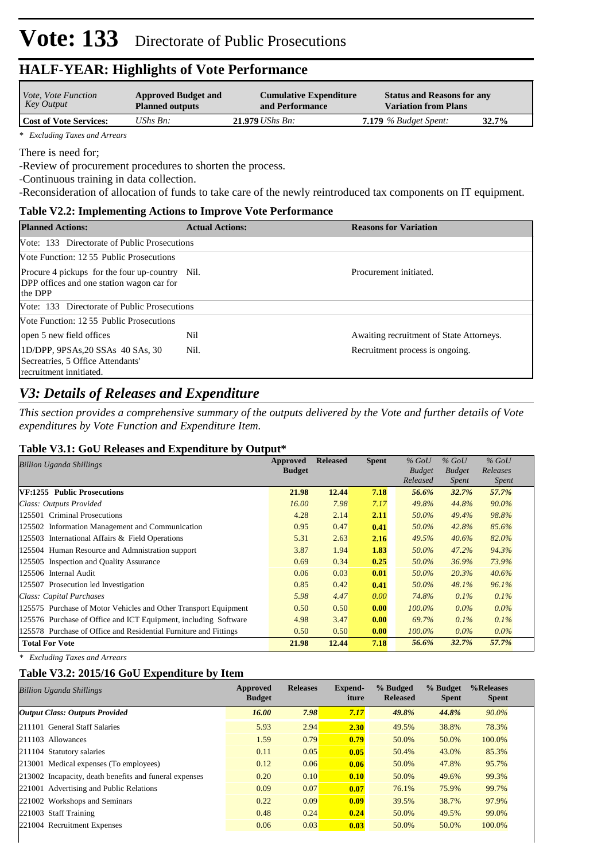| <i>Vote, Vote Function</i>    | <b>Approved Budget and</b> | <b>Cumulative Expenditure</b> | <b>Status and Reasons for any</b> |       |
|-------------------------------|----------------------------|-------------------------------|-----------------------------------|-------|
| Key Output                    | <b>Planned outputs</b>     | and Performance               | <b>Variation from Plans</b>       |       |
| <b>Cost of Vote Services:</b> | UShs $Bn$ :                | $21.979$ UShs Bn:             | $7.179$ % Budget Spent:           | 32.7% |

*\* Excluding Taxes and Arrears*

There is need for;

-Review of procurement procedures to shorten the process.

-Continuous training in data collection.

-Reconsideration of allocation of funds to take care of the newly reintroduced tax components on IT equipment.

#### **Table V2.2: Implementing Actions to Improve Vote Performance**

| <b>Planned Actions:</b>                                                                     | <b>Actual Actions:</b> | <b>Reasons for Variation</b>             |
|---------------------------------------------------------------------------------------------|------------------------|------------------------------------------|
| Vote: 133 Directorate of Public Prosecutions                                                |                        |                                          |
| Vote Function: 12.55 Public Prosecutions                                                    |                        |                                          |
| Procure 4 pickups for the four up-country Nil.<br>DPP offices and one station wagon car for |                        | Procurement initiated.                   |
| the DPP                                                                                     |                        |                                          |
| Vote: 133 Directorate of Public Prosecutions                                                |                        |                                          |
| Vote Function: 12.55 Public Prosecutions                                                    |                        |                                          |
| open 5 new field offices                                                                    | Nil                    | Awaiting recruitment of State Attorneys. |
| 1D/DPP, 9PSAs, 20 SSAs 40 SAs, 30<br>Secreatries, 5 Office Attendants'                      | Nil.                   | Recruitment process is ongoing.          |
| recruitment innitiated.                                                                     |                        |                                          |

# *V3: Details of Releases and Expenditure*

*This section provides a comprehensive summary of the outputs delivered by the Vote and further details of Vote expenditures by Vote Function and Expenditure Item.*

### **Table V3.1: GoU Releases and Expenditure by Output\***

| Billion Uganda Shillings                                         | <b>Approved</b><br><b>Budget</b> | <b>Released</b> | <b>Spent</b> | $%$ GoU<br><b>Budget</b> | $%$ GoU<br><b>Budget</b> | $%$ GoU<br>Releases |  |
|------------------------------------------------------------------|----------------------------------|-----------------|--------------|--------------------------|--------------------------|---------------------|--|
|                                                                  |                                  |                 |              | Released                 | <i>Spent</i>             | <i>Spent</i>        |  |
| VF:1255 Public Prosecutions                                      | 21.98                            | 12.44           | 7.18         | 56.6%                    | 32.7%                    | 57.7%               |  |
| Class: Outputs Provided                                          | 16.00                            | 7.98            | 7.17         | 49.8%                    | 44.8%                    | 90.0%               |  |
| 125501 Criminal Prosecutions                                     | 4.28                             | 2.14            | 2.11         | 50.0%                    | 49.4%                    | 98.8%               |  |
| 125502 Information Management and Communication                  | 0.95                             | 0.47            | 0.41         | 50.0%                    | 42.8%                    | 85.6%               |  |
| 125503 International Affairs & Field Operations                  | 5.31                             | 2.63            | 2.16         | 49.5%                    | 40.6%                    | 82.0%               |  |
| 125504 Human Resource and Admnistration support                  | 3.87                             | 1.94            | 1.83         | 50.0%                    | 47.2%                    | 94.3%               |  |
| 125505 Inspection and Quality Assurance                          | 0.69                             | 0.34            | 0.25         | 50.0%                    | 36.9%                    | 73.9%               |  |
| 125506 Internal Audit                                            | 0.06                             | 0.03            | 0.01         | 50.0%                    | 20.3%                    | 40.6%               |  |
| 125507 Prosecution led Investigation                             | 0.85                             | 0.42            | 0.41         | 50.0%                    | 48.1%                    | 96.1%               |  |
| Class: Capital Purchases                                         | 5.98                             | 4.47            | 0.00         | 74.8%                    | 0.1%                     | 0.1%                |  |
| 125575 Purchase of Motor Vehicles and Other Transport Equipment  | 0.50                             | 0.50            | 0.00         | $100.0\%$                | $0.0\%$                  | $0.0\%$             |  |
| 125576 Purchase of Office and ICT Equipment, including Software  | 4.98                             | 3.47            | 0.00         | 69.7%                    | 0.1%                     | 0.1%                |  |
| 125578 Purchase of Office and Residential Furniture and Fittings | 0.50                             | 0.50            | 0.00         | $100.0\%$                | $0.0\%$                  | $0.0\%$             |  |
| <b>Total For Vote</b>                                            | 21.98                            | 12.44           | 7.18         | 56.6%                    | 32.7%                    | 57.7%               |  |

*\* Excluding Taxes and Arrears*

### **Table V3.2: 2015/16 GoU Expenditure by Item**

| <b>Billion Uganda Shillings</b>                        | Approved<br><b>Budget</b> | <b>Releases</b> | Expend-<br>iture | % Budged<br><b>Released</b> | % Budget<br><b>Spent</b> | %Releases<br><b>Spent</b> |
|--------------------------------------------------------|---------------------------|-----------------|------------------|-----------------------------|--------------------------|---------------------------|
| <b>Output Class: Outputs Provided</b>                  | 16.00                     | 7.98            | 7.17             | 49.8%                       | 44.8%                    | 90.0%                     |
| 211101 General Staff Salaries                          | 5.93                      | 2.94            | 2.30             | 49.5%                       | 38.8%                    | 78.3%                     |
| $ 211103$ Allowances                                   | 1.59                      | 0.79            | 0.79             | 50.0%                       | 50.0%                    | 100.0%                    |
| 211104 Statutory salaries                              | 0.11                      | 0.05            | 0.05             | 50.4%                       | 43.0%                    | 85.3%                     |
| 213001 Medical expenses (To employees)                 | 0.12                      | 0.06            | 0.06             | 50.0%                       | 47.8%                    | 95.7%                     |
| 213002 Incapacity, death benefits and funeral expenses | 0.20                      | 0.10            | 0.10             | 50.0%                       | 49.6%                    | 99.3%                     |
| 221001 Advertising and Public Relations                | 0.09                      | 0.07            | 0.07             | 76.1%                       | 75.9%                    | 99.7%                     |
| 221002 Workshops and Seminars                          | 0.22                      | 0.09            | 0.09             | 39.5%                       | 38.7%                    | 97.9%                     |
| 221003 Staff Training                                  | 0.48                      | 0.24            | 0.24             | 50.0%                       | 49.5%                    | 99.0%                     |
| 221004 Recruitment Expenses                            | 0.06                      | 0.03            | 0.03             | 50.0%                       | 50.0%                    | 100.0%                    |